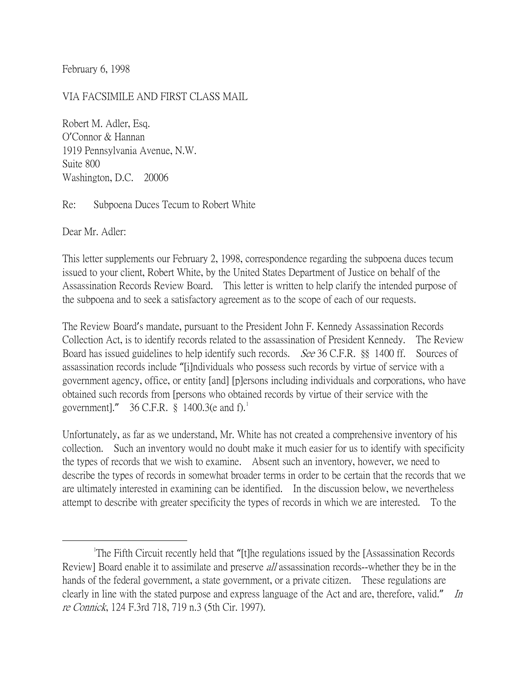February 6, 1998

#### VIA FACSIMILE AND FIRST CLASS MAIL

Robert M. Adler, Esq. O'Connor & Hannan 1919 Pennsylvania Avenue, N.W. Suite 800 Washington, D.C. 20006

Re: Subpoena Duces Tecum to Robert White

Dear Mr. Adler:

This letter supplements our February 2, 1998, correspondence regarding the subpoena duces tecum issued to your client, Robert White, by the United States Department of Justice on behalf of the Assassination Records Review Board. This letter is written to help clarify the intended purpose of the subpoena and to seek a satisfactory agreement as to the scope of each of our requests.

The Review Board's mandate, pursuant to the President John F. Kennedy Assassination Records Collection Act, is to identify records related to the assassination of President Kennedy. The Review Board has issued guidelines to help identify such records. See 36 C.F.R. §§ 1400 ff. Sources of assassination records include "[i]ndividuals who possess such records by virtue of service with a government agency, office, or entity [and] [p]ersons including individuals and corporations, who have obtained such records from [persons who obtained records by virtue of their service with the government]." 36 C.F.R.  $\S$  [1](#page-0-0)400.3(e and f).

Unfortunately, as far as we understand, Mr. White has not created a comprehensive inventory of his collection. Such an inventory would no doubt make it much easier for us to identify with specificity the types of records that we wish to examine. Absent such an inventory, however, we need to describe the types of records in somewhat broader terms in order to be certain that the records that we are ultimately interested in examining can be identified. In the discussion below, we nevertheless attempt to describe with greater specificity the types of records in which we are interested. To the

<span id="page-0-0"></span><sup>&</sup>lt;u>1</u> The Fifth Circuit recently held that "[t]he regulations issued by the [Assassination Records Review] Board enable it to assimilate and preserve *all* assassination records--whether they be in the hands of the federal government, a state government, or a private citizen. These regulations are clearly in line with the stated purpose and express language of the Act and are, therefore, valid." In re Connick, 124 F.3rd 718, 719 n.3 (5th Cir. 1997).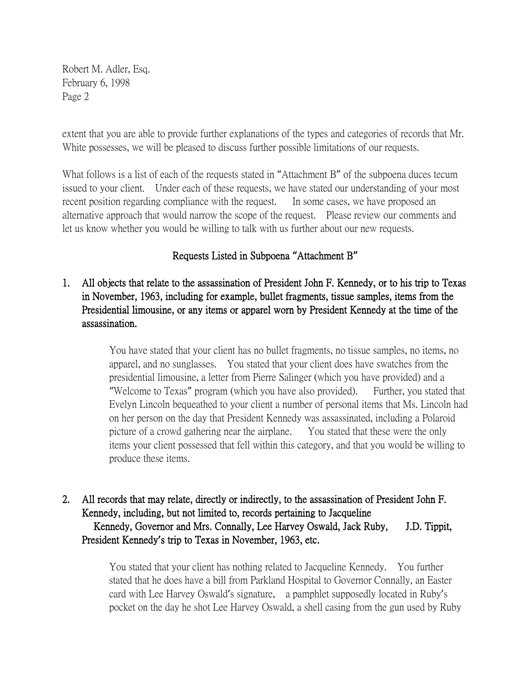extent that you are able to provide further explanations of the types and categories of records that Mr. White possesses, we will be pleased to discuss further possible limitations of our requests.

What follows is a list of each of the requests stated in "Attachment B" of the subpoena duces tecum issued to your client. Under each of these requests, we have stated our understanding of your most recent position regarding compliance with the request. In some cases, we have proposed an alternative approach that would narrow the scope of the request. Please review our comments and let us know whether you would be willing to talk with us further about our new requests.

### Requests Listed in Subpoena **"**Attachment B**"**

1. All objects that relate to the assassination of President John F. Kennedy, or to his trip to Texas in November, 1963, including for example, bullet fragments, tissue samples, items from the Presidential limousine, or any items or apparel worn by President Kennedy at the time of the assassination.

> You have stated that your client has no bullet fragments, no tissue samples, no items, no apparel, and no sunglasses. You stated that your client does have swatches from the presidential limousine, a letter from Pierre Salinger (which you have provided) and a "Welcome to Texas" program (which you have also provided). Further, you stated that Evelyn Lincoln bequeathed to your client a number of personal items that Ms. Lincoln had on her person on the day that President Kennedy was assassinated, including a Polaroid picture of a crowd gathering near the airplane. You stated that these were the only items your client possessed that fell within this category, and that you would be willing to produce these items.

2. All records that may relate, directly or indirectly, to the assassination of President John F. Kennedy, including, but not limited to, records pertaining to Jacqueline Kennedy, Governor and Mrs. Connally, Lee Harvey Oswald, Jack Ruby, J.D. Tippit, President Kennedy**'**s trip to Texas in November, 1963, etc.

> You stated that your client has nothing related to Jacqueline Kennedy. You further stated that he does have a bill from Parkland Hospital to Governor Connally, an Easter card with Lee Harvey Oswald's signature, a pamphlet supposedly located in Ruby's pocket on the day he shot Lee Harvey Oswald, a shell casing from the gun used by Ruby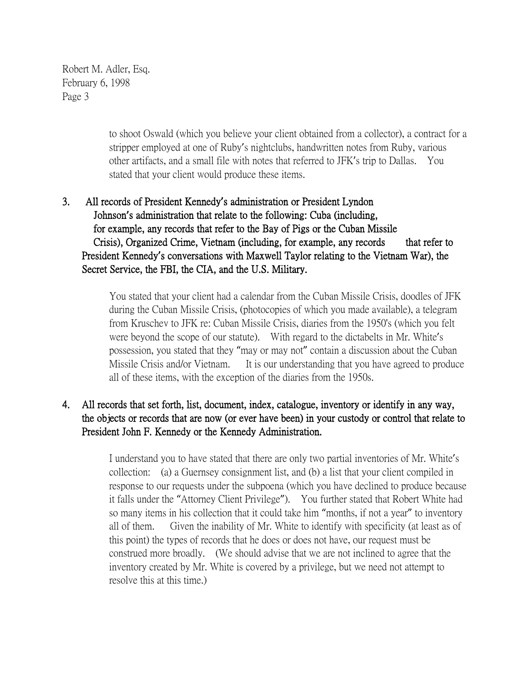> to shoot Oswald (which you believe your client obtained from a collector), a contract for a stripper employed at one of Ruby's nightclubs, handwritten notes from Ruby, various other artifacts, and a small file with notes that referred to JFK's trip to Dallas. You stated that your client would produce these items.

# 3. All records of President Kennedy**'**s administration or President Lyndon Johnson**'**s administration that relate to the following: Cuba (including, for example, any records that refer to the Bay of Pigs or the Cuban Missile Crisis), Organized Crime, Vietnam (including, for example, any records that refer to President Kennedy**'**s conversations with Maxwell Taylor relating to the Vietnam War), the Secret Service, the FBI, the CIA, and the U.S. Military.

You stated that your client had a calendar from the Cuban Missile Crisis, doodles of JFK during the Cuban Missile Crisis, (photocopies of which you made available), a telegram from Kruschev to JFK re: Cuban Missile Crisis, diaries from the 1950's (which you felt were beyond the scope of our statute). With regard to the dictabelts in Mr. White's possession, you stated that they "may or may not" contain a discussion about the Cuban Missile Crisis and/or Vietnam. It is our understanding that you have agreed to produce all of these items, with the exception of the diaries from the 1950s.

### 4. All records that set forth, list, document, index, catalogue, inventory or identify in any way, the objects or records that are now (or ever have been) in your custody or control that relate to President John F. Kennedy or the Kennedy Administration.

I understand you to have stated that there are only two partial inventories of Mr. White's collection: (a) a Guernsey consignment list, and (b) a list that your client compiled in response to our requests under the subpoena (which you have declined to produce because it falls under the "Attorney Client Privilege"). You further stated that Robert White had so many items in his collection that it could take him "months, if not a year" to inventory all of them. Given the inability of Mr. White to identify with specificity (at least as of this point) the types of records that he does or does not have, our request must be construed more broadly. (We should advise that we are not inclined to agree that the inventory created by Mr. White is covered by a privilege, but we need not attempt to resolve this at this time.)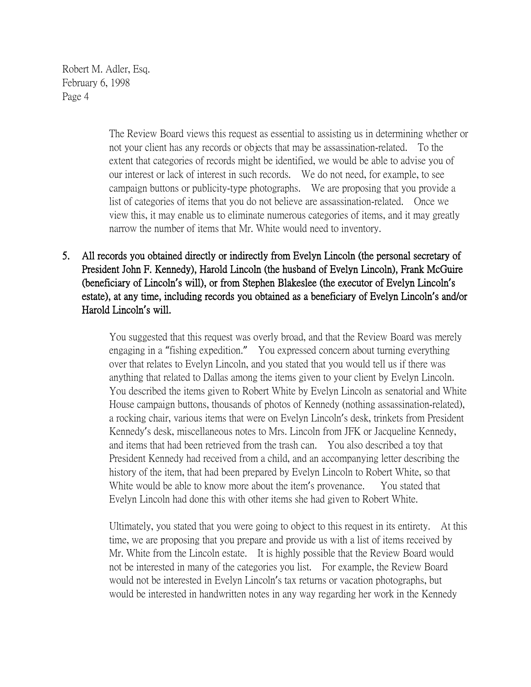> The Review Board views this request as essential to assisting us in determining whether or not your client has any records or objects that may be assassination-related. To the extent that categories of records might be identified, we would be able to advise you of our interest or lack of interest in such records. We do not need, for example, to see campaign buttons or publicity-type photographs. We are proposing that you provide a list of categories of items that you do not believe are assassination-related. Once we view this, it may enable us to eliminate numerous categories of items, and it may greatly narrow the number of items that Mr. White would need to inventory.

5. All records you obtained directly or indirectly from Evelyn Lincoln (the personal secretary of President John F. Kennedy), Harold Lincoln (the husband of Evelyn Lincoln), Frank McGuire (beneficiary of Lincoln**'**s will), or from Stephen Blakeslee (the executor of Evelyn Lincoln**'**s estate), at any time, including records you obtained as a beneficiary of Evelyn Lincoln**'**s and/or Harold Lincoln**'**s will.

> You suggested that this request was overly broad, and that the Review Board was merely engaging in a "fishing expedition." You expressed concern about turning everything over that relates to Evelyn Lincoln, and you stated that you would tell us if there was anything that related to Dallas among the items given to your client by Evelyn Lincoln. You described the items given to Robert White by Evelyn Lincoln as senatorial and White House campaign buttons, thousands of photos of Kennedy (nothing assassination-related), a rocking chair, various items that were on Evelyn Lincoln's desk, trinkets from President Kennedy's desk, miscellaneous notes to Mrs. Lincoln from JFK or Jacqueline Kennedy, and items that had been retrieved from the trash can. You also described a toy that President Kennedy had received from a child, and an accompanying letter describing the history of the item, that had been prepared by Evelyn Lincoln to Robert White, so that White would be able to know more about the item's provenance. You stated that Evelyn Lincoln had done this with other items she had given to Robert White.

> Ultimately, you stated that you were going to object to this request in its entirety. At this time, we are proposing that you prepare and provide us with a list of items received by Mr. White from the Lincoln estate. It is highly possible that the Review Board would not be interested in many of the categories you list. For example, the Review Board would not be interested in Evelyn Lincoln's tax returns or vacation photographs, but would be interested in handwritten notes in any way regarding her work in the Kennedy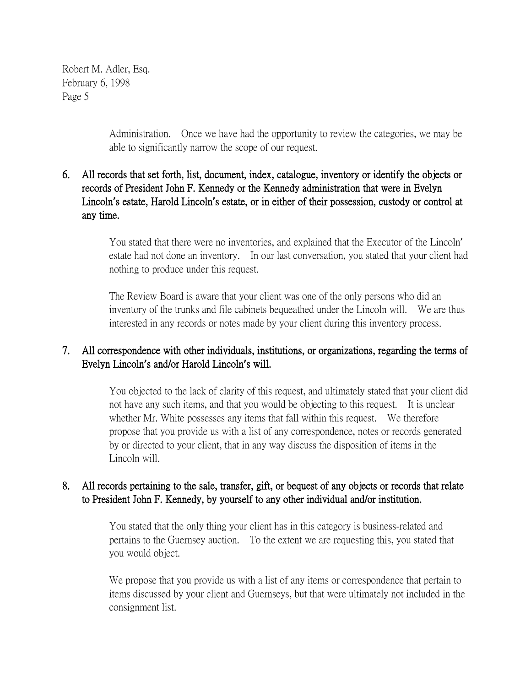> Administration. Once we have had the opportunity to review the categories, we may be able to significantly narrow the scope of our request.

## 6. All records that set forth, list, document, index, catalogue, inventory or identify the objects or records of President John F. Kennedy or the Kennedy administration that were in Evelyn Lincoln**'**s estate, Harold Lincoln**'**s estate, or in either of their possession, custody or control at any time.

You stated that there were no inventories, and explained that the Executor of the Lincoln' estate had not done an inventory. In our last conversation, you stated that your client had nothing to produce under this request.

The Review Board is aware that your client was one of the only persons who did an inventory of the trunks and file cabinets bequeathed under the Lincoln will. We are thus interested in any records or notes made by your client during this inventory process.

## 7. All correspondence with other individuals, institutions, or organizations, regarding the terms of Evelyn Lincoln**'**s and/or Harold Lincoln**'**s will.

You objected to the lack of clarity of this request, and ultimately stated that your client did not have any such items, and that you would be objecting to this request. It is unclear whether Mr. White possesses any items that fall within this request. We therefore propose that you provide us with a list of any correspondence, notes or records generated by or directed to your client, that in any way discuss the disposition of items in the Lincoln will.

### 8. All records pertaining to the sale, transfer, gift, or bequest of any objects or records that relate to President John F. Kennedy, by yourself to any other individual and/or institution.

You stated that the only thing your client has in this category is business-related and pertains to the Guernsey auction. To the extent we are requesting this, you stated that you would object.

We propose that you provide us with a list of any items or correspondence that pertain to items discussed by your client and Guernseys, but that were ultimately not included in the consignment list.